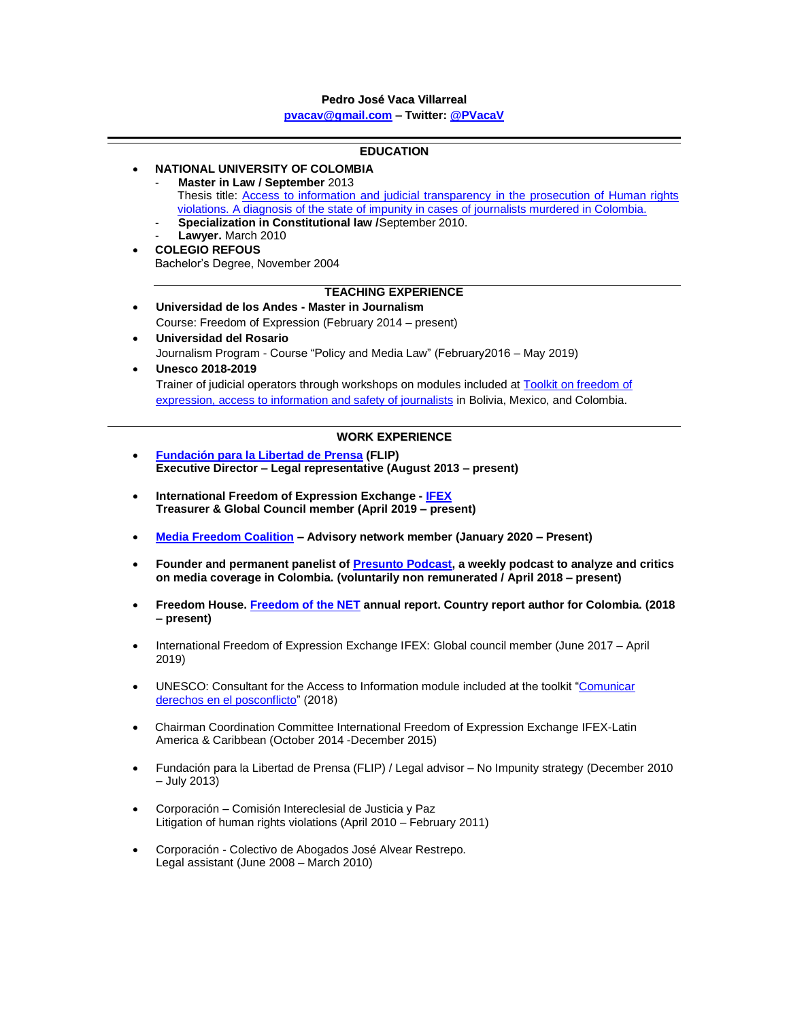# **Pedro José Vaca Villarreal**

**[pvacav@gmail.com](mailto:pvacav@gmail.com) – Twitter[: @PVacaV](https://twitter.com/PVacaV)**

| <b>EDUCATION</b>                                                                                                                                                                                |                                                                                                                                                                                                    |  |  |
|-------------------------------------------------------------------------------------------------------------------------------------------------------------------------------------------------|----------------------------------------------------------------------------------------------------------------------------------------------------------------------------------------------------|--|--|
| NATIONAL UNIVERSITY OF COLOMBIA                                                                                                                                                                 |                                                                                                                                                                                                    |  |  |
|                                                                                                                                                                                                 | Master in Law / September 2013                                                                                                                                                                     |  |  |
|                                                                                                                                                                                                 | Thesis title: Access to information and judicial transparency in the prosecution of Human rights<br>violations. A diagnosis of the state of impunity in cases of journalists murdered in Colombia. |  |  |
|                                                                                                                                                                                                 | Specialization in Constitutional law /September 2010.                                                                                                                                              |  |  |
|                                                                                                                                                                                                 | Lawyer. March 2010                                                                                                                                                                                 |  |  |
| $\bullet$                                                                                                                                                                                       | <b>COLEGIO REFOUS</b>                                                                                                                                                                              |  |  |
|                                                                                                                                                                                                 | Bachelor's Degree, November 2004                                                                                                                                                                   |  |  |
| <b>TEACHING EXPERIENCE</b>                                                                                                                                                                      |                                                                                                                                                                                                    |  |  |
| $\bullet$                                                                                                                                                                                       | Universidad de los Andes - Master in Journalism                                                                                                                                                    |  |  |
|                                                                                                                                                                                                 | Course: Freedom of Expression (February 2014 – present)                                                                                                                                            |  |  |
|                                                                                                                                                                                                 | Universidad del Rosario                                                                                                                                                                            |  |  |
|                                                                                                                                                                                                 | Journalism Program - Course "Policy and Media Law" (February 2016 - May 2019)<br>Unesco 2018-2019                                                                                                  |  |  |
|                                                                                                                                                                                                 | Trainer of judicial operators through workshops on modules included at Toolkit on freedom of                                                                                                       |  |  |
|                                                                                                                                                                                                 | expression, access to information and safety of journalists in Bolivia, Mexico, and Colombia.                                                                                                      |  |  |
|                                                                                                                                                                                                 |                                                                                                                                                                                                    |  |  |
| <b>WORK EXPERIENCE</b>                                                                                                                                                                          |                                                                                                                                                                                                    |  |  |
| $\bullet$                                                                                                                                                                                       | Fundación para la Libertad de Prensa (FLIP)                                                                                                                                                        |  |  |
|                                                                                                                                                                                                 | Executive Director - Legal representative (August 2013 - present)                                                                                                                                  |  |  |
| $\bullet$                                                                                                                                                                                       | International Freedom of Expression Exchange - IFEX<br>Treasurer & Global Council member (April 2019 - present)                                                                                    |  |  |
| $\bullet$                                                                                                                                                                                       | Media Freedom Coalition - Advisory network member (January 2020 - Present)                                                                                                                         |  |  |
| Founder and permanent panelist of Presunto Podcast, a weekly podcast to analyze and critics<br>$\bullet$<br>on media coverage in Colombia. (voluntarily non remunerated / April 2018 - present) |                                                                                                                                                                                                    |  |  |
| $\bullet$                                                                                                                                                                                       | Freedom House. Freedom of the NET annual report. Country report author for Colombia. (2018<br>- present)                                                                                           |  |  |
| $\bullet$                                                                                                                                                                                       | International Freedom of Expression Exchange IFEX: Global council member (June 2017 - April<br>2019)                                                                                               |  |  |
| $\bullet$                                                                                                                                                                                       | UNESCO: Consultant for the Access to Information module included at the toolkit "Comunicar<br>derechos en el posconflicto" (2018)                                                                  |  |  |
| $\bullet$                                                                                                                                                                                       | Chairman Coordination Committee International Freedom of Expression Exchange IFEX-Latin<br>America & Caribbean (October 2014 -December 2015)                                                       |  |  |
| $\bullet$                                                                                                                                                                                       | Fundación para la Libertad de Prensa (FLIP) / Legal advisor - No Impunity strategy (December 2010<br>$-$ July 2013)                                                                                |  |  |
| $\bullet$                                                                                                                                                                                       | Corporación - Comisión Intereclesial de Justicia y Paz<br>Litigation of human rights violations (April 2010 - February 2011)                                                                       |  |  |
| $\bullet$                                                                                                                                                                                       | Corporación - Colectivo de Abogados José Alvear Restrepo.<br>Legal assistant (June 2008 - March 2010)                                                                                              |  |  |
|                                                                                                                                                                                                 |                                                                                                                                                                                                    |  |  |